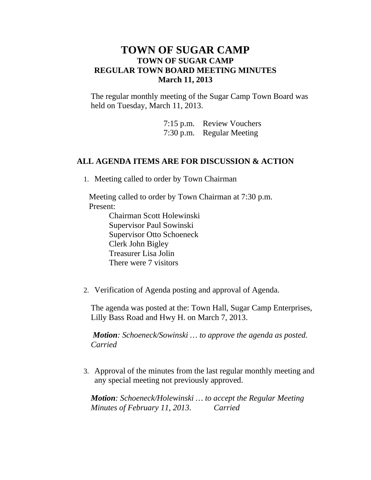## **TOWN OF SUGAR CAMP TOWN OF SUGAR CAMP REGULAR TOWN BOARD MEETING MINUTES March 11, 2013**

The regular monthly meeting of the Sugar Camp Town Board was held on Tuesday, March 11, 2013.

> 7:15 p.m. Review Vouchers 7:30 p.m. Regular Meeting

## **ALL AGENDA ITEMS ARE FOR DISCUSSION & ACTION**

1. Meeting called to order by Town Chairman

Meeting called to order by Town Chairman at 7:30 p.m. Present:

> Chairman Scott Holewinski Supervisor Paul Sowinski Supervisor Otto Schoeneck Clerk John Bigley Treasurer Lisa Jolin There were 7 visitors

2. Verification of Agenda posting and approval of Agenda.

The agenda was posted at the: Town Hall, Sugar Camp Enterprises, Lilly Bass Road and Hwy H. on March 7, 2013.

*Motion: Schoeneck/Sowinski … to approve the agenda as posted. Carried*

3. Approval of the minutes from the last regular monthly meeting and any special meeting not previously approved.

*Motion: Schoeneck/Holewinski … to accept the Regular Meeting Minutes of February 11, 2013. Carried*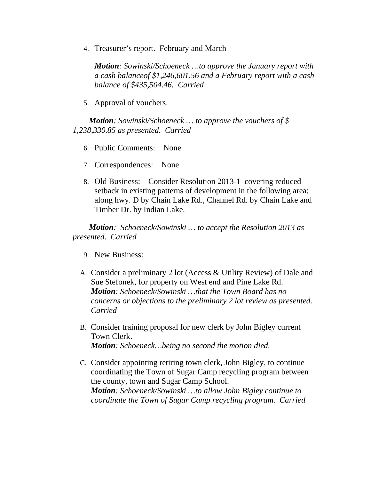4. Treasurer's report. February and March

*Motion: Sowinski/Schoeneck …to approve the January report with a cash balanceof \$1,246,601.56 and a February report with a cash balance of \$435,504.46. Carried*

5. Approval of vouchers.

*Motion: Sowinski/Schoeneck … to approve the vouchers of \$ 1,238,330.85 as presented. Carried*

- 6. Public Comments: None
- 7. Correspondences: None
- 8. Old Business: Consider Resolution 2013-1 covering reduced setback in existing patterns of development in the following area; along hwy. D by Chain Lake Rd., Channel Rd. by Chain Lake and Timber Dr. by Indian Lake.

*Motion: Schoeneck/Sowinski … to accept the Resolution 2013 as presented. Carried*

- 9. New Business:
- A. Consider a preliminary 2 lot (Access & Utility Review) of Dale and Sue Stefonek, for property on West end and Pine Lake Rd. *Motion: Schoeneck/Sowinski …that the Town Board has no concerns or objections to the preliminary 2 lot review as presented. Carried*
- B. Consider training proposal for new clerk by John Bigley current Town Clerk. *Motion: Schoeneck…being no second the motion died.*
- C. Consider appointing retiring town clerk, John Bigley, to continue coordinating the Town of Sugar Camp recycling program between the county, town and Sugar Camp School. *Motion: Schoeneck/Sowinski …to allow John Bigley continue to coordinate the Town of Sugar Camp recycling program. Carried*